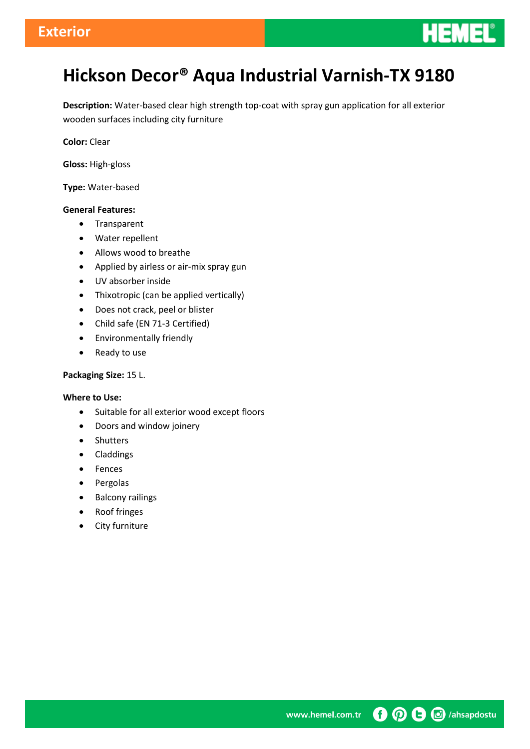

# **Hickson Decor® Aqua Industrial Varnish-TX 9180**

**Description:** Water-based clear high strength top-coat with spray gun application for all exterior wooden surfaces including city furniture

**Color:** Clear

**Gloss:** High-gloss

**Type:** Water-based

#### **General Features:**

- Transparent
- Water repellent
- Allows wood to breathe
- Applied by airless or air-mix spray gun
- UV absorber inside
- Thixotropic (can be applied vertically)
- Does not crack, peel or blister
- Child safe (EN 71-3 Certified)
- Environmentally friendly
- Ready to use

#### **Packaging Size:** 15 L.

#### **Where to Use:**

- Suitable for all exterior wood except floors
- Doors and window joinery
- Shutters
- Claddings
- Fences
- Pergolas
- Balcony railings
- Roof fringes
- City furniture

**O O** *G (ahsapdostu* www.hemel.com.tr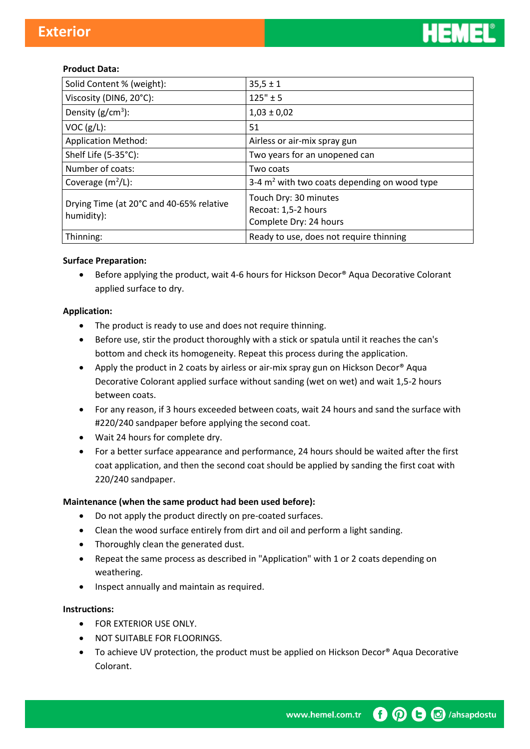

#### **Product Data:**

| Solid Content % (weight):                              | $35,5 \pm 1$                                                           |
|--------------------------------------------------------|------------------------------------------------------------------------|
| Viscosity (DIN6, 20°C):                                | $125" \pm 5$                                                           |
| Density $(g/cm^3)$ :                                   | $1,03 \pm 0,02$                                                        |
| VOC (g/L):                                             | 51                                                                     |
| <b>Application Method:</b>                             | Airless or air-mix spray gun                                           |
| Shelf Life (5-35°C):                                   | Two years for an unopened can                                          |
| Number of coats:                                       | Two coats                                                              |
| Coverage $(m^2/L)$ :                                   | 3-4 $m2$ with two coats depending on wood type                         |
| Drying Time (at 20°C and 40-65% relative<br>humidity): | Touch Dry: 30 minutes<br>Recoat: 1,5-2 hours<br>Complete Dry: 24 hours |
| Thinning:                                              | Ready to use, does not require thinning                                |

#### **Surface Preparation:**

● Before applying the product, wait 4-6 hours for Hickson Decor® Aqua Decorative Colorant applied surface to dry.

#### **Application:**

- The product is ready to use and does not require thinning.
- Before use, stir the product thoroughly with a stick or spatula until it reaches the can's bottom and check its homogeneity. Repeat this process during the application.
- Apply the product in 2 coats by airless or air-mix spray gun on Hickson Decor<sup>®</sup> Aqua Decorative Colorant applied surface without sanding (wet on wet) and wait 1,5-2 hours between coats.
- For any reason, if 3 hours exceeded between coats, wait 24 hours and sand the surface with #220/240 sandpaper before applying the second coat.
- Wait 24 hours for complete dry.
- For a better surface appearance and performance, 24 hours should be waited after the first coat application, and then the second coat should be applied by sanding the first coat with 220/240 sandpaper.

#### **Maintenance (when the same product had been used before):**

- Do not apply the product directly on pre-coated surfaces.
- Clean the wood surface entirely from dirt and oil and perform a light sanding.
- Thoroughly clean the generated dust.
- Repeat the same process as described in "Application" with 1 or 2 coats depending on weathering.
- Inspect annually and maintain as required.

#### **Instructions:**

- **FOR EXTERIOR USE ONLY.**
- **NOT SUITABLE FOR FLOORINGS.**
- To achieve UV protection, the product must be applied on Hickson Decor® Aqua Decorative Colorant.

**O O** *B ahsapdostu* www.hemel.com.tr